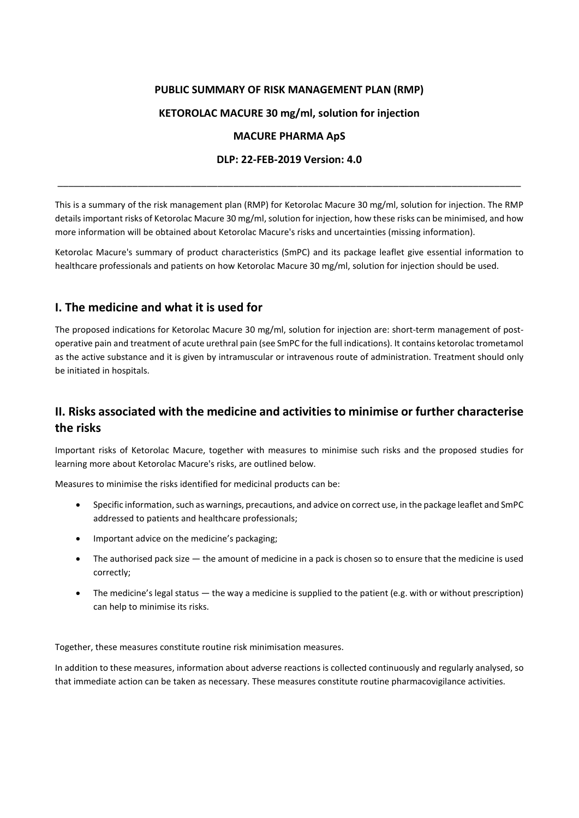### **PUBLIC SUMMARY OF RISK MANAGEMENT PLAN (RMP)**

## **KETOROLAC MACURE 30 mg/ml, solution for injection**

### **MACURE PHARMA ApS**

#### **DLP: 22-FEB-2019 Version: 4.0**

\_\_\_\_\_\_\_\_\_\_\_\_\_\_\_\_\_\_\_\_\_\_\_\_\_\_\_\_\_\_\_\_\_\_\_\_\_\_\_\_\_\_\_\_\_\_\_\_\_\_\_\_\_\_\_\_\_\_\_\_\_\_\_\_\_\_\_\_\_\_\_\_\_\_\_\_\_\_\_\_\_\_\_\_\_\_\_

This is a summary of the risk management plan (RMP) for Ketorolac Macure 30 mg/ml, solution for injection. The RMP details important risks of Ketorolac Macure 30 mg/ml, solution for injection, how these risks can be minimised, and how more information will be obtained about Ketorolac Macure's risks and uncertainties (missing information).

Ketorolac Macure's summary of product characteristics (SmPC) and its package leaflet give essential information to healthcare professionals and patients on how Ketorolac Macure 30 mg/ml, solution for injection should be used.

# **I. The medicine and what it is used for**

The proposed indications for Ketorolac Macure 30 mg/ml, solution for injection are: short-term management of postoperative pain and treatment of acute urethral pain (see SmPC for the full indications). It contains ketorolac trometamol as the active substance and it is given by intramuscular or intravenous route of administration. Treatment should only be initiated in hospitals.

# **II. Risks associated with the medicine and activities to minimise or further characterise the risks**

Important risks of Ketorolac Macure, together with measures to minimise such risks and the proposed studies for learning more about Ketorolac Macure's risks, are outlined below.

Measures to minimise the risks identified for medicinal products can be:

- Specific information, such as warnings, precautions, and advice on correct use, in the package leaflet and SmPC addressed to patients and healthcare professionals;
- Important advice on the medicine's packaging;
- The authorised pack size  $-$  the amount of medicine in a pack is chosen so to ensure that the medicine is used correctly;
- The medicine's legal status the way a medicine is supplied to the patient (e.g. with or without prescription) can help to minimise its risks.

Together, these measures constitute routine risk minimisation measures.

In addition to these measures, information about adverse reactions is collected continuously and regularly analysed, so that immediate action can be taken as necessary. These measures constitute routine pharmacovigilance activities.